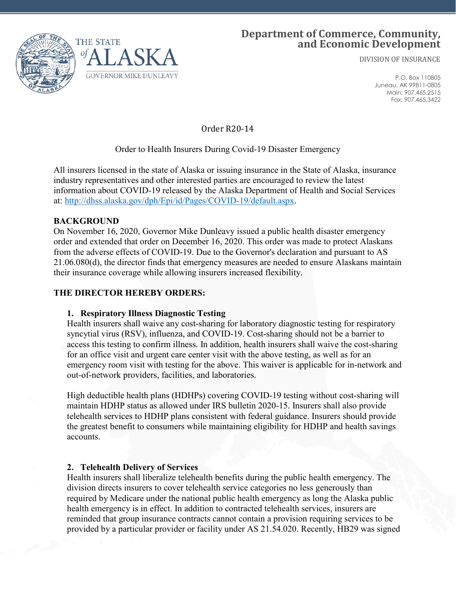

# **Department of Commerce, Community, and Economic Development**

DIVISION OF INSURANCE

P.O. Box 110805 Juneau, AK 99811-0805 Main: 907.465.2515 Fax: 907.465.3422

Order R20-14

### Order to Health Insurers During Covid-19 Disaster Emergency

All insurers licensed in the state of Alaska or issuing insurance in the State of Alaska, insurance industry representatives and other interested parties are encouraged to review the latest information about COVID-19 released by the Alaska Department of Health and Social Services at: [http://dhss.alaska.gov/dph/Epi/id/Pages/COVID-19/default.aspx.](http://dhss.alaska.gov/dph/Epi/id/Pages/COVID-19/default.aspx)

#### **BACKGROUND**

On November 16, 2020, Governor Mike Dunleavy issued a public health disaster emergency order and extended that order on December 16, 2020. This order was made to protect Alaskans from the adverse effects of COVID-19. Due to the Governor's declaration and pursuant to AS 21.06.080(d), the director finds that emergency measures are needed to ensure Alaskans maintain their insurance coverage while allowing insurers increased flexibility.

#### **THE DIRECTOR HEREBY ORDERS:**

### **1. Respiratory Illness Diagnostic Testing**

Health insurers shall waive any cost-sharing for laboratory diagnostic testing for respiratory syncytial virus (RSV), influenza, and COVID-19. Cost-sharing should not be a barrier to access this testing to confirm illness. In addition, health insurers shall waive the cost-sharing for an office visit and urgent care center visit with the above testing, as well as for an emergency room visit with testing for the above. This waiver is applicable for in-network and out-of-network providers, facilities, and laboratories.

High deductible health plans (HDHPs) covering COVID-19 testing without cost-sharing will maintain HDHP status as allowed under IRS bulletin 2020-15. Insurers shall also provide telehealth services to HDHP plans consistent with federal guidance. Insurers should provide the greatest benefit to consumers while maintaining eligibility for HDHP and health savings accounts.

#### **2. Telehealth Delivery of Services**

Health insurers shall liberalize telehealth benefits during the public health emergency. The division directs insurers to cover telehealth service categories no less generously than required by Medicare under the national public health emergency as long the Alaska public health emergency is in effect. In addition to contracted telehealth services, insurers are reminded that group insurance contracts cannot contain a provision requiring services to be provided by a particular provider or facility under AS 21.54.020. Recently, HB29 was signed